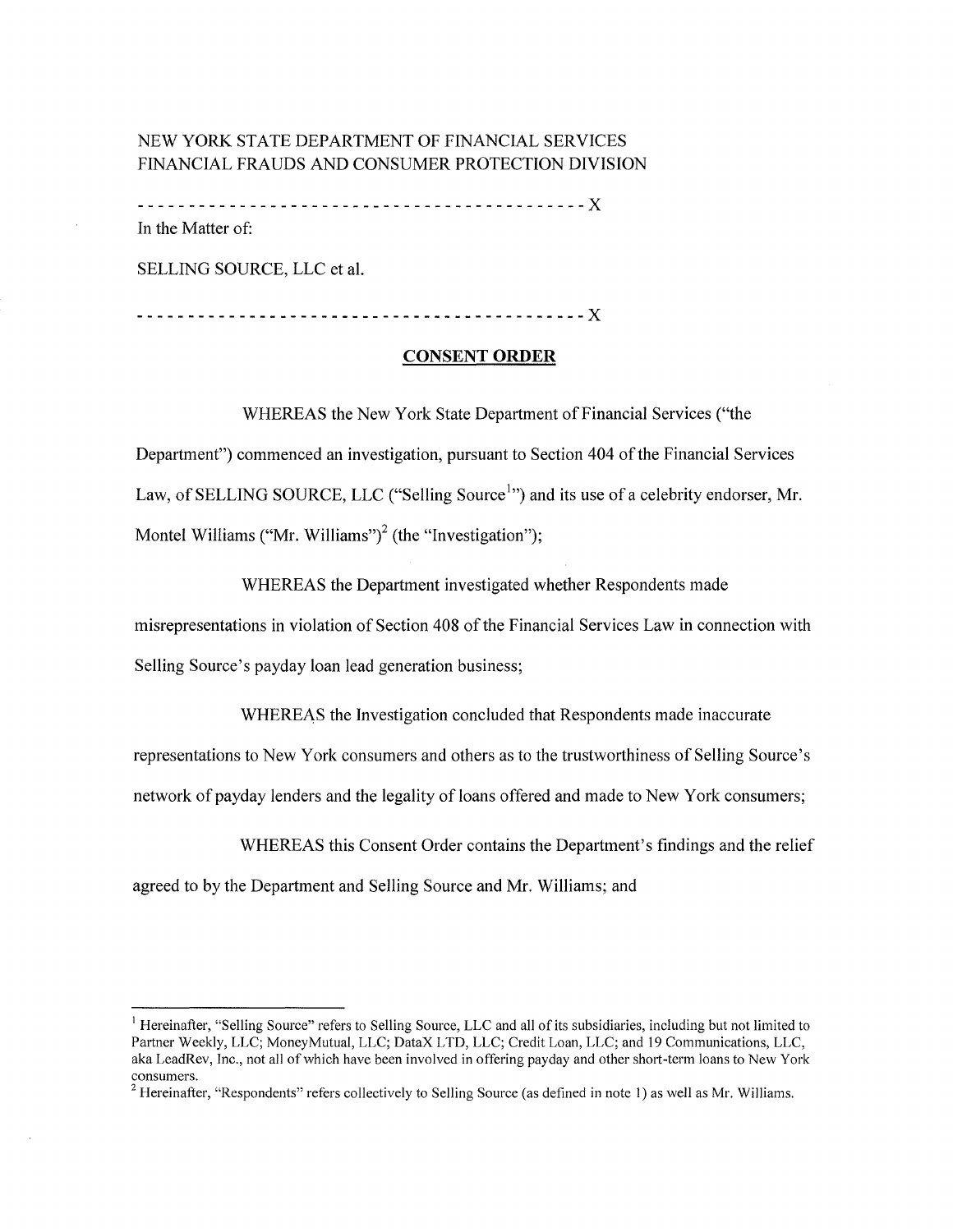# NEW YORK STATE DEPARTMENT OF FINANCIAL SERVICES FINANCIAL FRAUDS AND CONSUMER PROTECTION DIVISION

--------------------------------------------X In the Matter of:

SELLING SOURCE, LLC et al.

--------------------------------------------X

#### **CONSENT ORDER**

WHEREAS the New York State Department of Financial Services ("the

Department") commenced an investigation, pursuant to Section 404 of the Financial Services Law, of SELLING SOURCE, LLC ("Selling Source<sup>1</sup>") and its use of a celebrity endorser, Mr. Montel Williams ("Mr. Williams")<sup>2</sup> (the "Investigation");

WHEREAS the Department investigated whether Respondents made misrepresentations in violation of Section 408 of the Financial Services Law in connection with Selling Source's payday loan lead generation business;

WHEREAS the Investigation concluded that Respondents made inaccurate

representations to New York consumers and others as to the trustworthiness of Selling Source's

network of payday lenders and the legality of loans offered and made to New York consumers;

WHEREAS this Consent Order contains the Department's findings and the relief

agreed to by the Department and Selling Source and Mr. Williams; and

<sup>&</sup>lt;sup>1</sup> Hereinafter, "Selling Source" refers to Selling Source, LLC and all of its subsidiaries, including but not limited to Partner Weekly, LLC; Money Mutual, LLC; DataX LTD, LLC; Credit Loan, LLC; and 19 Communications, LLC, aka LeadRev, Inc., not all of which have been involved in offering payday and other short-term loans to New York consumers.

<sup>&</sup>lt;sup>2</sup> Hereinafter, "Respondents" refers collectively to Selling Source (as defined in note 1) as well as Mr. Williams.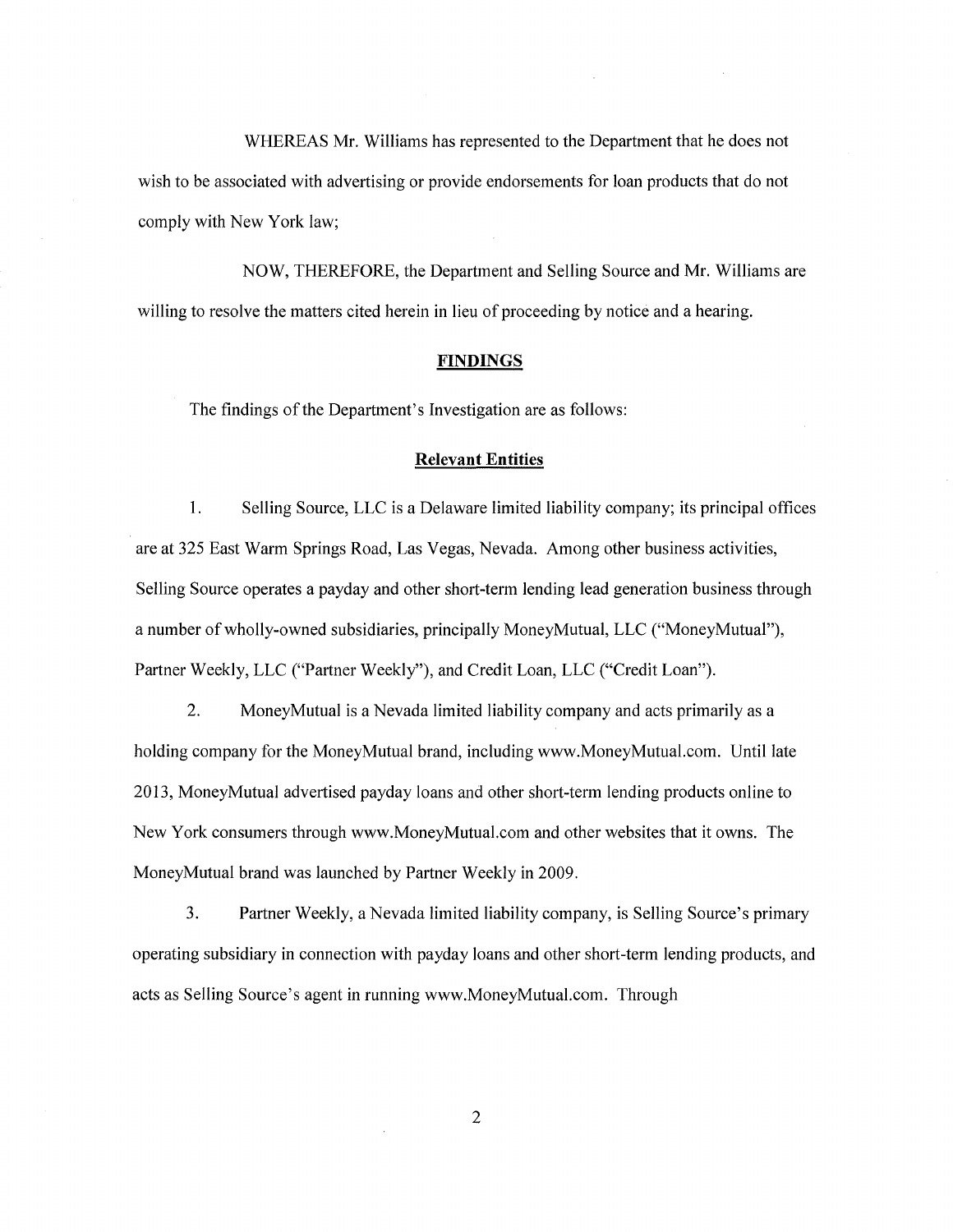WHEREAS Mr. Williams has represented to the Department that he does not wish to be associated with advertising or provide endorsements for loan products that do not comply with New York law;

NOW, THEREFORE, the Department and Selling Source and Mr. Williams are willing to resolve the matters cited herein in lieu of proceeding by notice and a hearing.

### **FINDINGS**

The findings of the Department's Investigation are as follows:

#### **Relevant Entities**

I. Selling Source, LLC is a Delaware limited liability company; its principal offices are at 325 East Warm Springs Road, Las Vegas, Nevada. Among other business activities, Selling Source operates a payday and other short-term lending lead generation business through a number of wholly-owned subsidiaries, principally MoneyMutual, LLC ("MoneyMutual"), Partner Weekly, LLC ("Partner Weekly"), and Credit Loan, LLC ("Credit Loan").

2. MoneyMutual is a Nevada limited liability company and acts primarily as a holding company for the MoneyMutual brand, including [www.MoneyMutual.com.](#) Until late 2013, MoneyMutual advertised payday loans and other short-term lending products online to New York consumers through [www.MoneyMutual.com](#) and other websites that it owns. The MoneyMutual brand was launched by Partner Weekly in 2009.

3. Partner Weekly, a Nevada limited liability company, is Selling Source's primary operating subsidiary in connection with payday loans and other short-term lending products, and acts as Selling Source's agent in running [www.MoneyMutual.com.](#) Through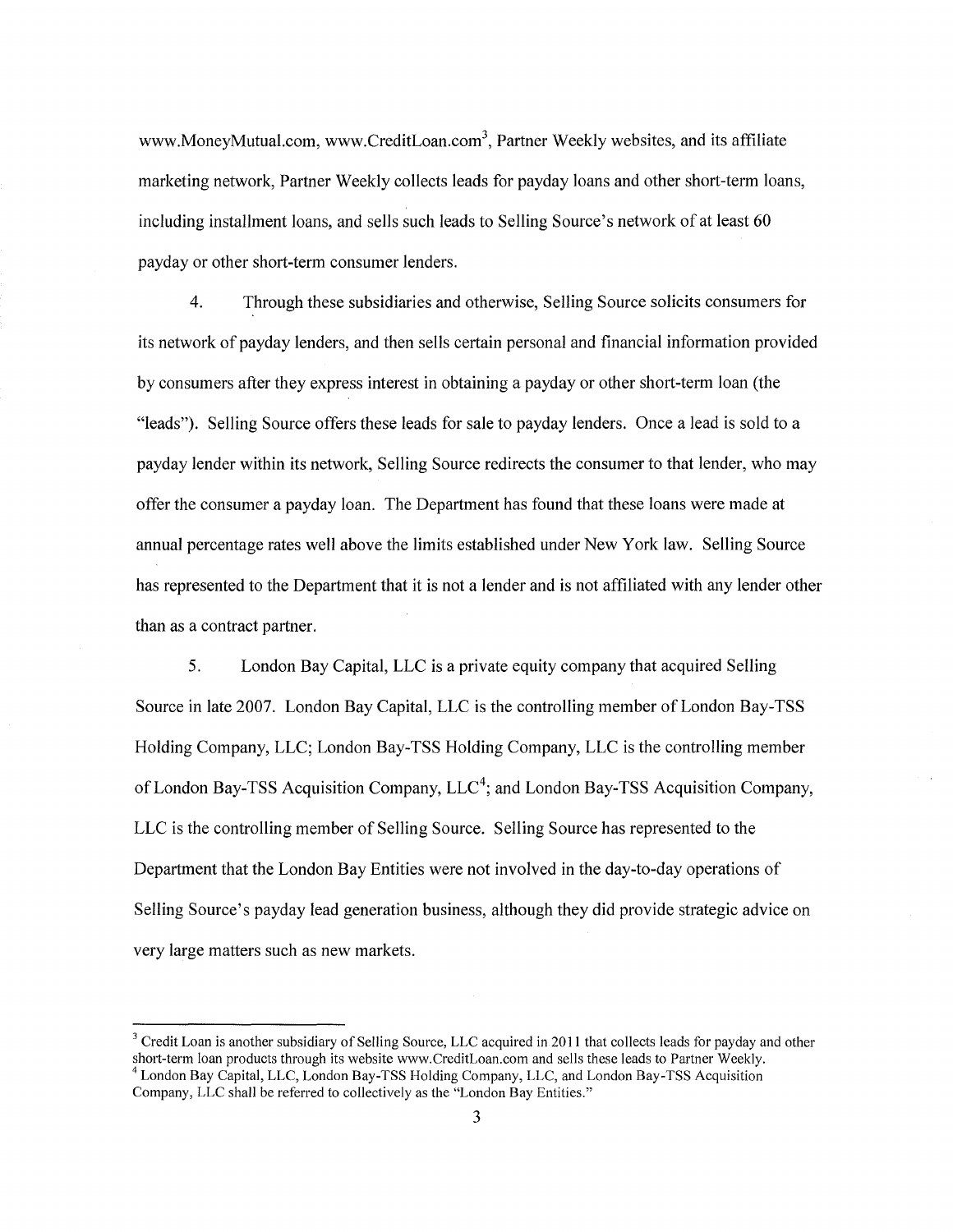[www.MoneyMutual.com,](#) [www.CreditLoan.com](#)<sup>3</sup>, Partner Weekly websites, and its affiliate marketing network, Partner Weekly collects leads for payday loans and other short-term loans, including installment loans, and sells such leads to Selling Source's network of at least 60 payday or other short-term consumer lenders.

4. Through these subsidiaries and otherwise, Selling Source solicits consumers for its network of payday lenders, and then sells certain personal and financial information provided by consumers after they express interest in obtaining a payday or other short-term loan (the "leads"). Selling Source offers these leads for sale to payday lenders. Once a lead is sold to a payday lender within its network, Selling Source redirects the consumer to that lender, who may offer the consumer a payday loan. The Department has found that these loans were made at annual percentage rates well above the limits established under New York law. Selling Source has represented to the Department that it is not a lender and is not affiliated with any lender other than as a contract partner.

5. London Bay Capital, LLC is a private equity company that acquired Selling Source in late 2007. London Bay Capital, LLC is the controlling member of London Bay-TSS Holding Company, LLC; London Bay-TSS Holding Company, LLC is the controlling member of London Bay-TSS Acquisition Company,  $LLC<sup>4</sup>$ ; and London Bay-TSS Acquisition Company, LLC is the controlling member of Selling Source. Selling Source has represented to the Department that the London Bay Entities were not involved in the day-to-day operations of Selling Source's payday lead generation business, although they did provide strategic advice on very large matters such as new markets.

 $3$  Credit Loan is another subsidiary of Selling Source, LLC acquired in 2011 that collects leads for payday and other short-term loan products through its website www.CreditLoan.com and sells these leads to Partner Weekl  $<sup>4</sup>$  London Bay Capital, LLC, London Bay-TSS Holding Company, LLC, and London Bay-TSS Acquisition</sup>

Company, LLC shall be referred to collectively as the "London Bay Entities."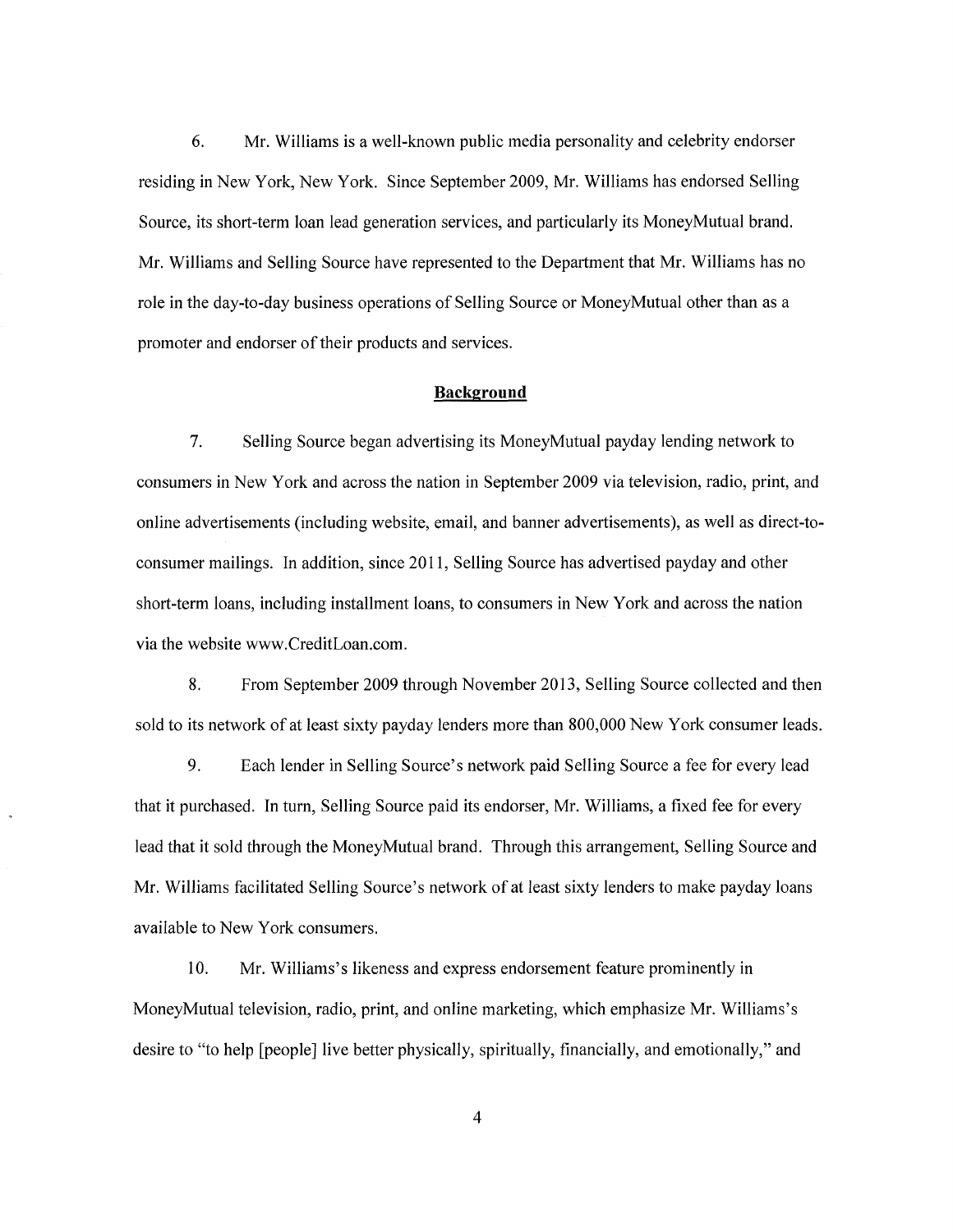6. Mr. Williams is a well-known public media personality and celebrity endorser residing in New York, New York. Since September 2009, Mr. Williams has endorsed Selling Source, its short-term loan lead generation services, and particularly its MoneyMutual brand. Mr. Williams and Selling Source have represented to the Department that Mr. Williams has no role in the day-to-day business operations of Selling Source or Money Mutual other than as a promoter and endorser of their products and services.

#### **Background**

7. Selling Source began advertising its MoneyMutual payday lending network to consumers in New York and across the nation in September 2009 via television, radio, print, and online advertisements (including website, email, and banner advertisements), as well as direct-toconsumer mailings. In addition, since 2011, Selling Source has advertised payday and other short-term loans, including installment loans, to consumers in New York and across the nation via the website [www.CreditLoan.com.](#) 

8. From September 2009 through November 2013, Selling Source collected and then sold to its network of at least sixty payday lenders more than 800,000 New York consumer leads.

9. Each lender in Selling Source's network paid Selling Source a fee for every lead that it purchased. In turn, Selling Source paid its endorser, Mr. Williams, a fixed fee for every lead that it sold through the MoneyMutual brand. Through this arrangement, Selling Source and Mr. Williams facilitated Selling Source's network of at least sixty lenders to make payday loans available to New York consumers.

10. Mr. Williams's likeness and express endorsement feature prominently in MoneyMutual television, radio, print, and online marketing, which emphasize Mr. Williams's desire to "to help [people] live better physically, spiritually, financially, and emotionally," and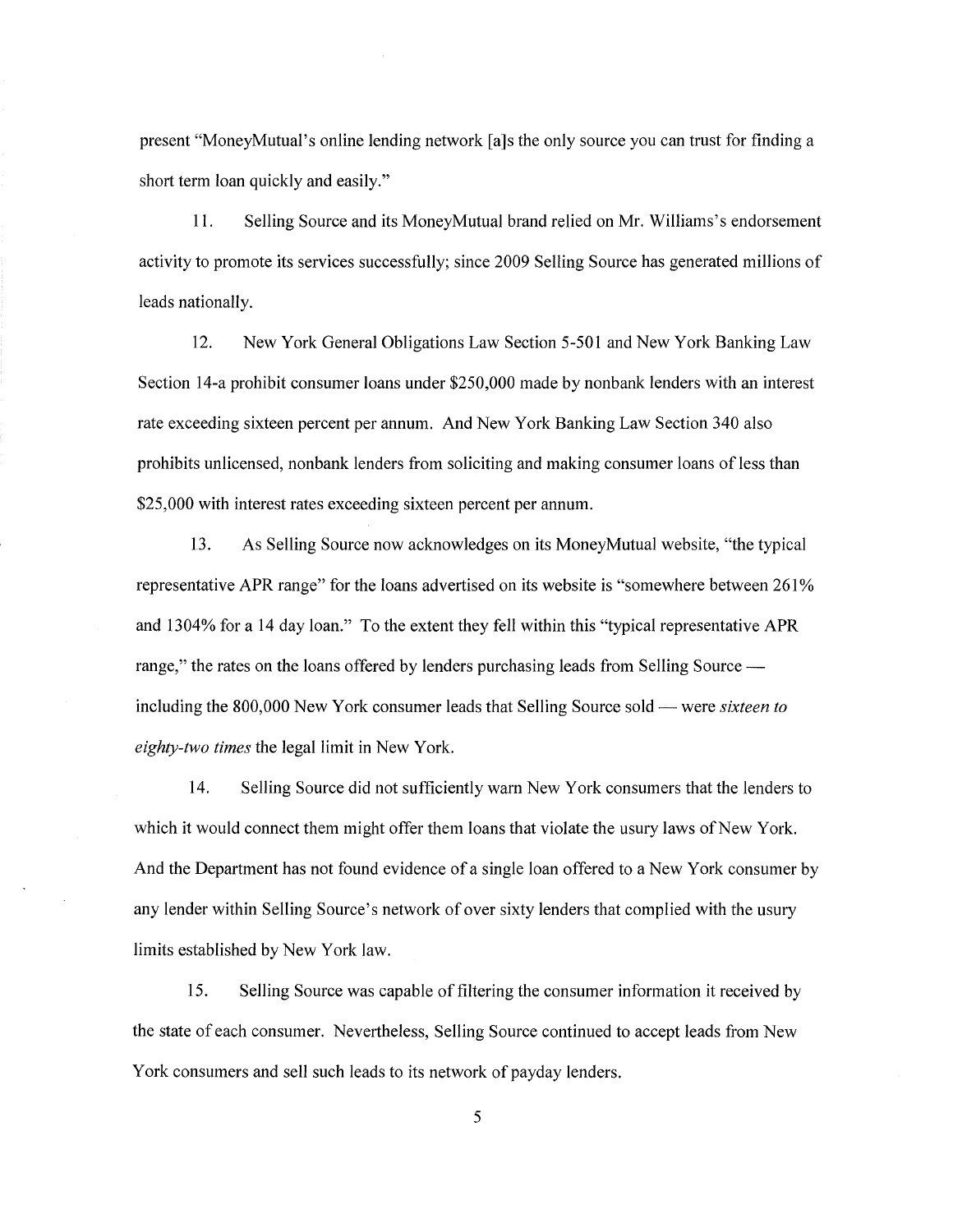present "MoneyMutual's online lending network [a]s the only source you can trust for finding a short term loan quickly and easily."

11. Selling Source and its MoneyMutual brand relied on Mr. Williams's endorsement activity to promote its services successfully; since 2009 Selling Source has generated millions of leads nationally.

12. New York General Obligations Law Section 5-501 and New York Banking Law Section 14-a prohibit consumer loans under \$250,000 made by nonbank lenders with an interest rate exceeding sixteen percent per annum. And New York Banking Law Section 340 also prohibits unlicensed, nonbank lenders from soliciting and making consumer loans of less than \$25,000 with interest rates exceeding sixteen percent per annum.

13. As Selling Source now acknowledges on its MoneyMutual website, "the typical representative APR range" for the loans advertised on its website is "somewhere between 261% and 1304% for a 14 day loan." To the extent they fell within this "typical representative APR range," the rates on the loans offered by lenders purchasing leads from Selling Source including the 800,000 New York consumer leads that Selling Source sold- were *sixteen to eighty-two times* the legal limit in New York.

14. Selling Source did not sufficiently warn New York consumers that the lenders to which it would connect them might offer them loans that violate the usury laws of New York. And the Department has not found evidence of a single loan offered to a New York consumer by any lender within Selling Source's network of over sixty lenders that complied with the usury limits established by New York law.

15. Selling Source was capable of filtering the consumer information it received by the state of each consumer. Nevertheless, Selling Source continued to accept leads from New York consumers and sell such leads to its network of payday lenders.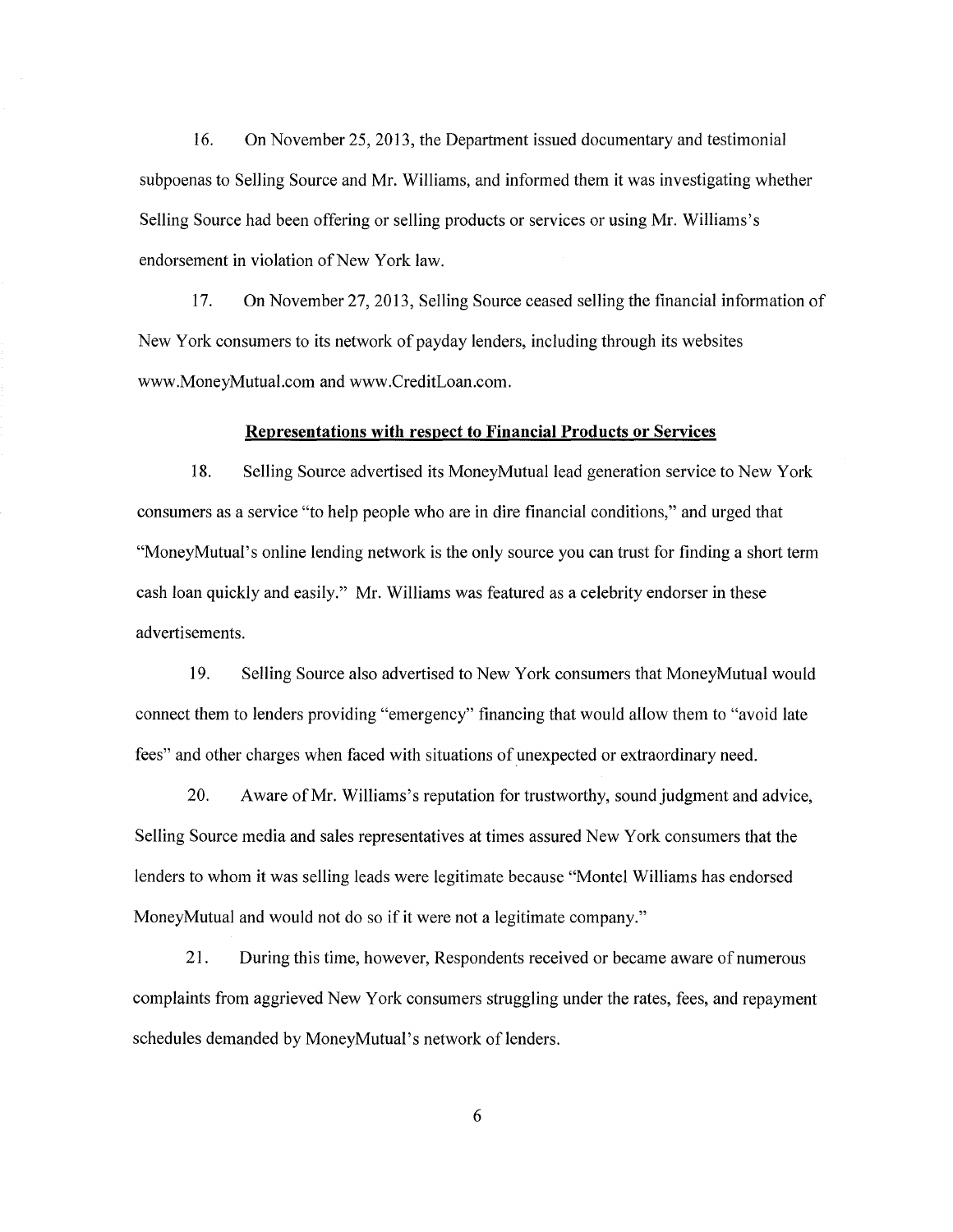16. On November 25, 2013, the Department issued documentary and testimonial subpoenas to Selling Source and Mr. Williams, and informed them it was investigating whether Selling Source had been offering or selling products or services or using Mr. Williams's endorsement in violation of New York law.

17. On November 27, 2013, Selling Source ceased selling the financial information of New York consumers to its network of payday lenders, including through its websites [www .MoneyMutual.com](#) and [www .CreditLoan.com.](#)

#### **Representations with respect to Financial Products or Services**

18. Selling Source advertised its MoneyMutual lead generation service to New York consumers as a service "to help people who are in dire financial conditions," and urged that "MoneyMutual's online lending network is the only source you can trust for finding a short term cash loan quickly and easily." Mr. Williams was featured as a celebrity endorser in these advertisements.

19. Selling Source also advertised to New York consumers that MoneyMutual would connect them to lenders providing "emergency" financing that would allow them to "avoid late fees" and other charges when faced with situations of unexpected or extraordinary need.

20. Aware of Mr. Williams's reputation for trustworthy, sound judgment and advice, Selling Source media and sales representatives at times assured New York consumers that the lenders to whom it was selling leads were legitimate because "Montel Williams has endorsed MoneyMutual and would not do so if it were not a legitimate company."

21. During this time, however, Respondents received or became aware of numerous complaints from aggrieved New York consumers struggling under the rates, fees, and repayment schedules demanded by MoneyMutual 's network of lenders.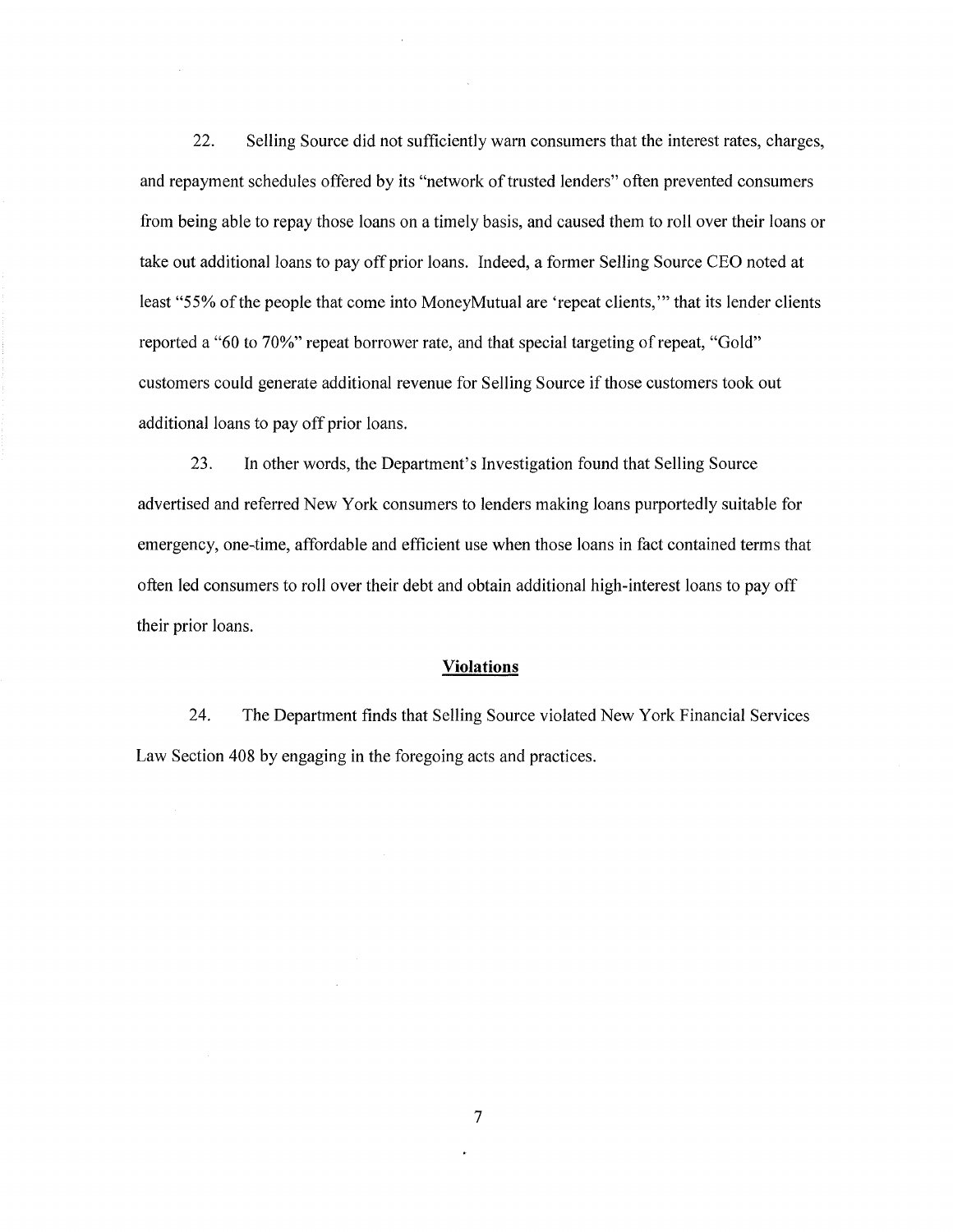22. Selling Source did not sufficiently warn consumers that the interest rates, charges, and repayment schedules offered by its "network of trusted lenders" often prevented consumers from being able to repay those loans on a timely basis, and caused them to roll over their loans or take out additional loans to pay off prior loans. Indeed, a former Selling Source CEO noted at least "55% of the people that come into MoneyMutual are 'repeat clients," that its lender clients reported a "60 to 70%" repeat borrower rate, and that special targeting of repeat, "Gold" customers could generate additional revenue for Selling Source if those customers took out additional loans to pay off prior loans.

23. In other words, the Department's Investigation found that Selling Source advertised and referred New York consumers to lenders making loans purportedly suitable for emergency, one-time, affordable and efficient use when those loans in fact contained terms that often led consumers to roll over their debt and obtain additional high-interest loans to pay off their prior loans.

#### **Violations**

24. The Department finds that Selling Source violated New York Financial Services Law Section 408 by engaging in the foregoing acts and practices.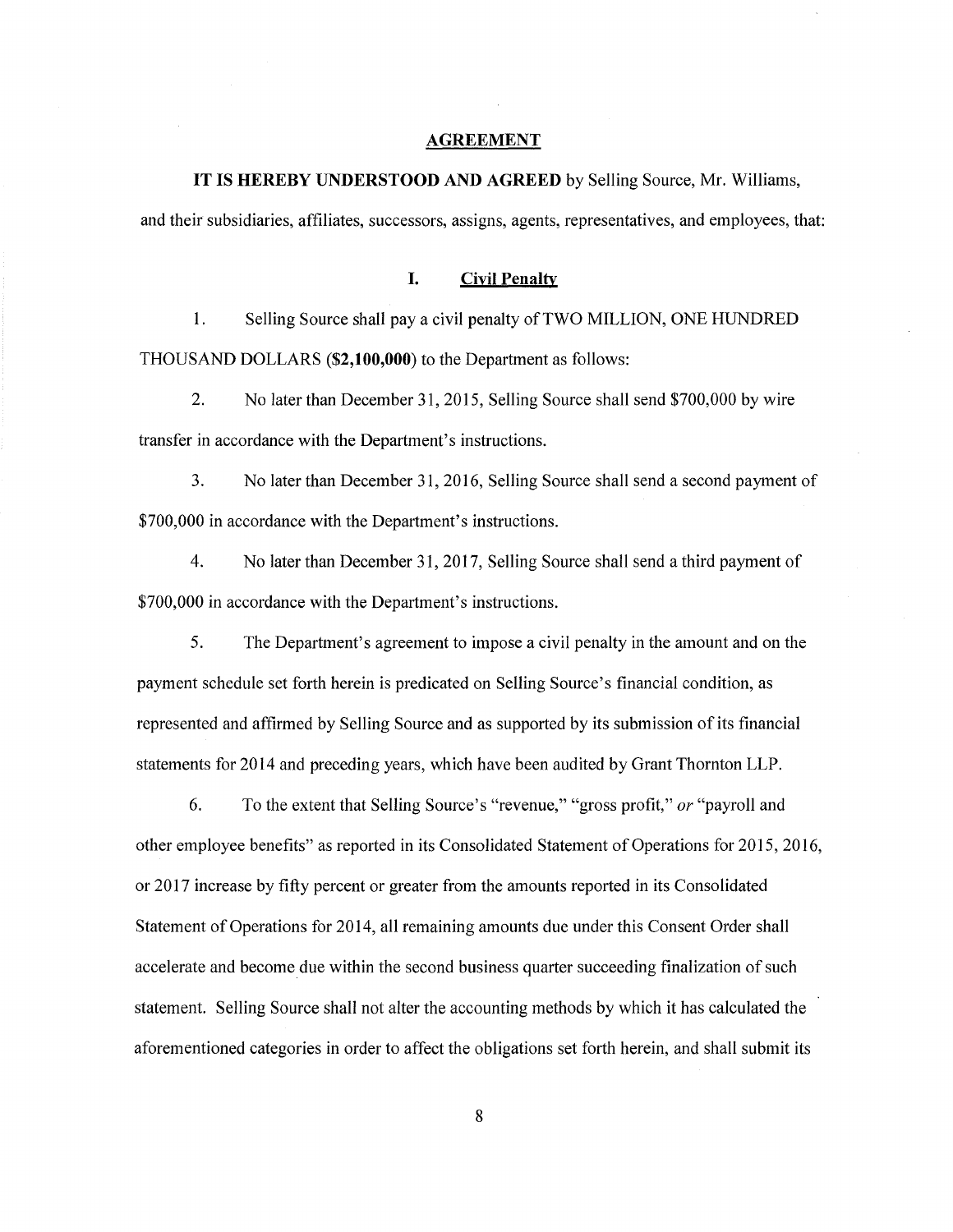#### **AGREEMENT**

### **IT IS HEREBY UNDERSTOOD AND AGREED** by Selling Source, Mr. Williams,

and their subsidiaries, affiliates, successors, assigns, agents, representatives, and employees, that:

### **I. Civil Penalty**

1. Selling Source shall pay a civil penalty of TWO MILLION, ONE HUNDRED THOUSAND DOLLARS **(\$2,100,000)** to the Department as follows:

2. No later than December 31, 2015, Selling Source shall send \$700,000 by wire transfer in accordance with the Department's instructions.

3. No later than December 31, 2016, Selling Source shall send a second payment of \$700,000 in accordance with the Department's instructions.

4. No later than December 31, 2017, Selling Source shall send a third payment of \$700,000 in accordance with the Department's instructions.

5. The Department's agreement to impose a civil penalty in the amount and on the payment schedule set forth herein is predicated on Selling Source's financial condition, as represented and affirmed by Selling Source and as supported by its submission of its financial statements for 2014 and preceding years, which have been audited by Grant Thornton LLP.

6. To the extent that Selling Source's "revenue," "gross profit," *or* "payroll and other employee benefits" as reported in its Consolidated Statement of Operations for 2015, 2016, or 2017 increase by fifty percent or greater from the amounts reported in its Consolidated Statement of Operations for 2014, all remaining amounts due under this Consent Order shall accelerate and become due within the second business quarter succeeding finalization of such statement. Selling Source shall not alter the accounting methods by which it has calculated the aforementioned categories in order to affect the obligations set forth herein, and shall submit its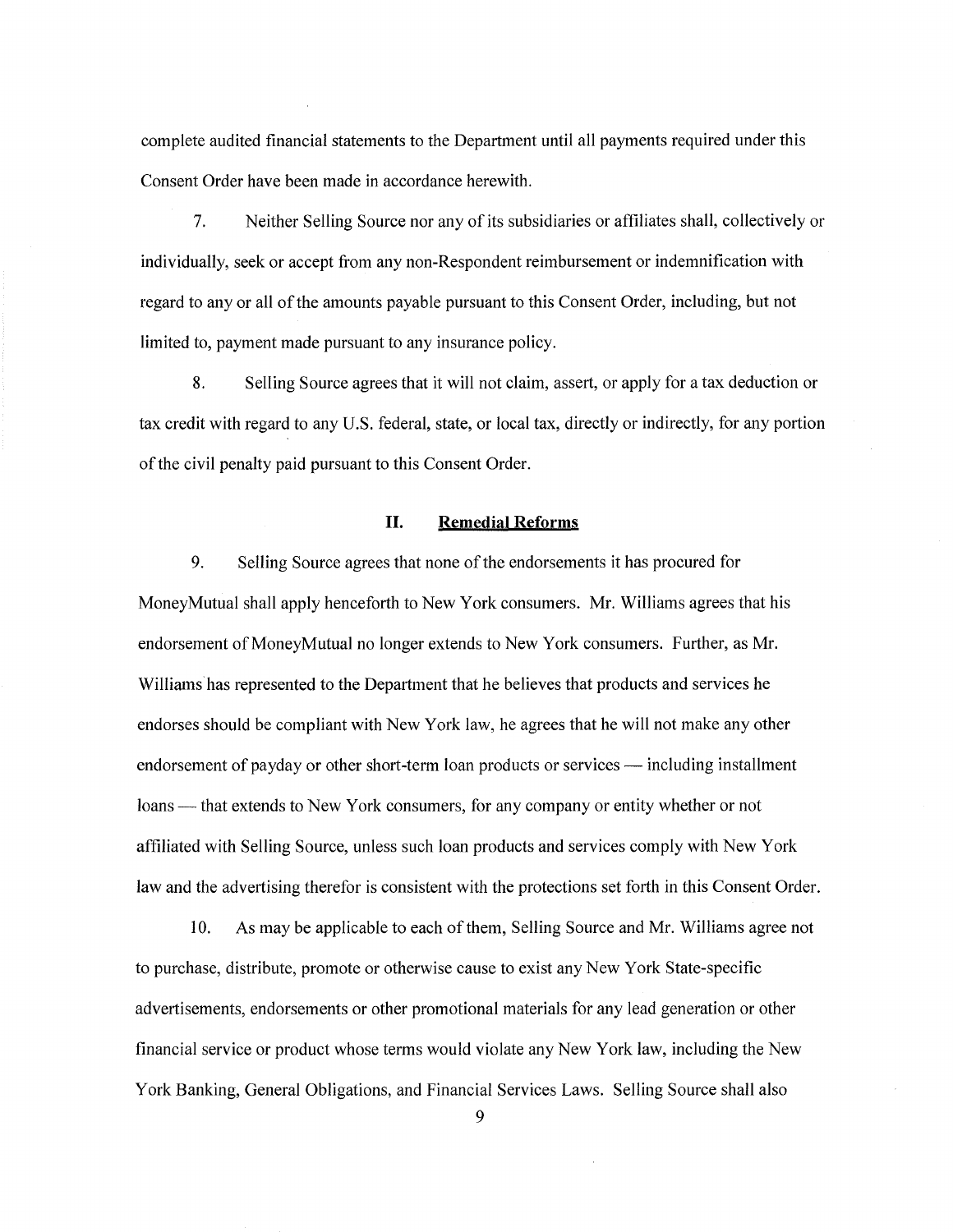complete audited financial statements to the Department until all payments required under this Consent Order have been made in accordance herewith.

7. Neither Selling Source nor any of its subsidiaries or affiliates shall, collectively or individually, seek or accept from any non-Respondent reimbursement or indemnification with regard to any or all ofthe amounts payable pursuant to this Consent Order, including, but not limited to, payment made pursuant to any insurance policy.

8. Selling Source agrees that it will not claim, assert, or apply for a tax deduction or tax credit with regard to any U.S. federal, state, or local tax, directly or indirectly, for any portion of the civil penalty paid pursuant to this Consent Order.

### **II. Remedial Reforms**

9. Selling Source agrees that none of the endorsements it has procured for Money Mutual shall apply henceforth to New York consumers. Mr. Williams agrees that his endorsement of MoneyMutual no longer extends to New York consumers. Further, as Mr. Williams has represented to the Department that he believes that products and services he endorses should be compliant with New York law, he agrees that he will not make any other endorsement of payday or other short-term loan products or services — including installment loans — that extends to New York consumers, for any company or entity whether or not affiliated with Selling Source, unless such loan products and services comply with New York law and the advertising therefor is consistent with the protections set forth in this Consent Order.

10. As may be applicable to each ofthem, Selling Source and Mr. Williams agree not to purchase, distribute, promote or otherwise cause to exist any New York State-specific advertisements, endorsements or other promotional materials for any lead generation or other financial service or product whose terms would violate any New York law, including the New York Banking, General Obligations, and Financial Services Laws. Selling Source shall also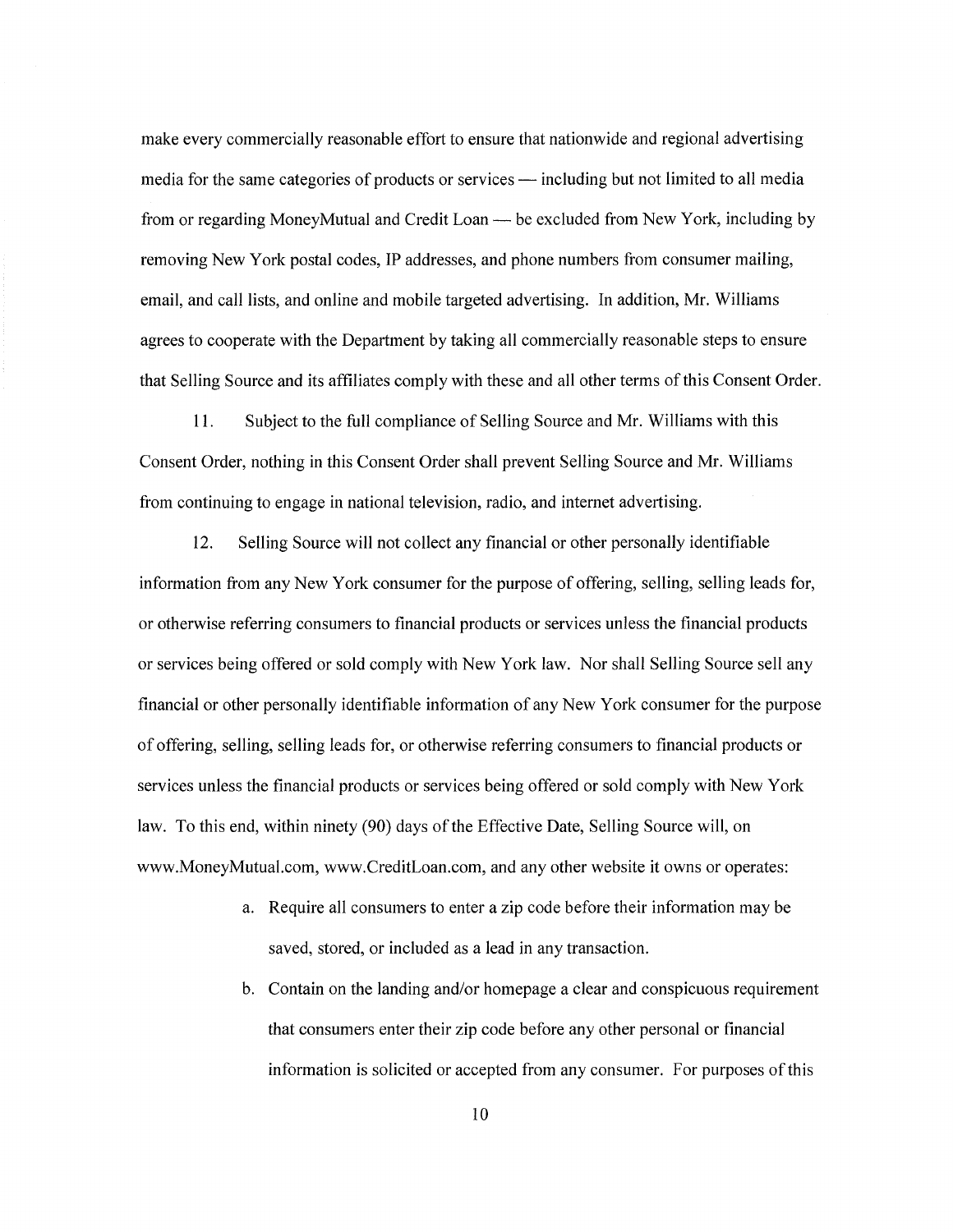make every commercially reasonable effort to ensure that nationwide and regional advertising media for the same categories of products or services — including but not limited to all media from or regarding Money Mutual and Credit Loan- be excluded from New York, including by removing New York postal codes, IP addresses, and phone numbers from consumer mailing, email, and call lists, and online and mobile targeted advertising. In addition, Mr. Williams agrees to cooperate with the Department by taking all commercially reasonable steps to ensure that Selling Source and its affiliates comply with these and all other terms of this Consent Order.

11. Subject to the full compliance of Selling Source and Mr. Williams with this Consent Order, nothing in this Consent Order shall prevent Selling Source and Mr. Williams from continuing to engage in national television, radio, and internet advertising.

12. Selling Source will not collect any financial or other personally identifiable information from any New York consumer for the purpose of offering, selling, selling leads for, or otherwise referring consumers to financial products or services unless the financial products or services being offered or sold comply with New York law. Nor shall Selling Source sell any financial or other personally identifiable information of any New York consumer for the purpose of offering, selling, selling leads for, or otherwise referring consumers to financial products or services unless the financial products or services being offered or sold comply with New York law. To this end, within ninety (90) days of the Effective Date, Selling Source will, on www.MoneyMutual.com, www.CreditLoan.com, and any other website it owns or operates:

- a. Require all consumers to enter a zip code before their information may be saved, stored, or included as a lead in any transaction.
- b. Contain on the landing and/or homepage a clear and conspicuous requirement that consumers enter their zip code before any other personal or financial information is solicited or accepted from any consumer. For purposes of this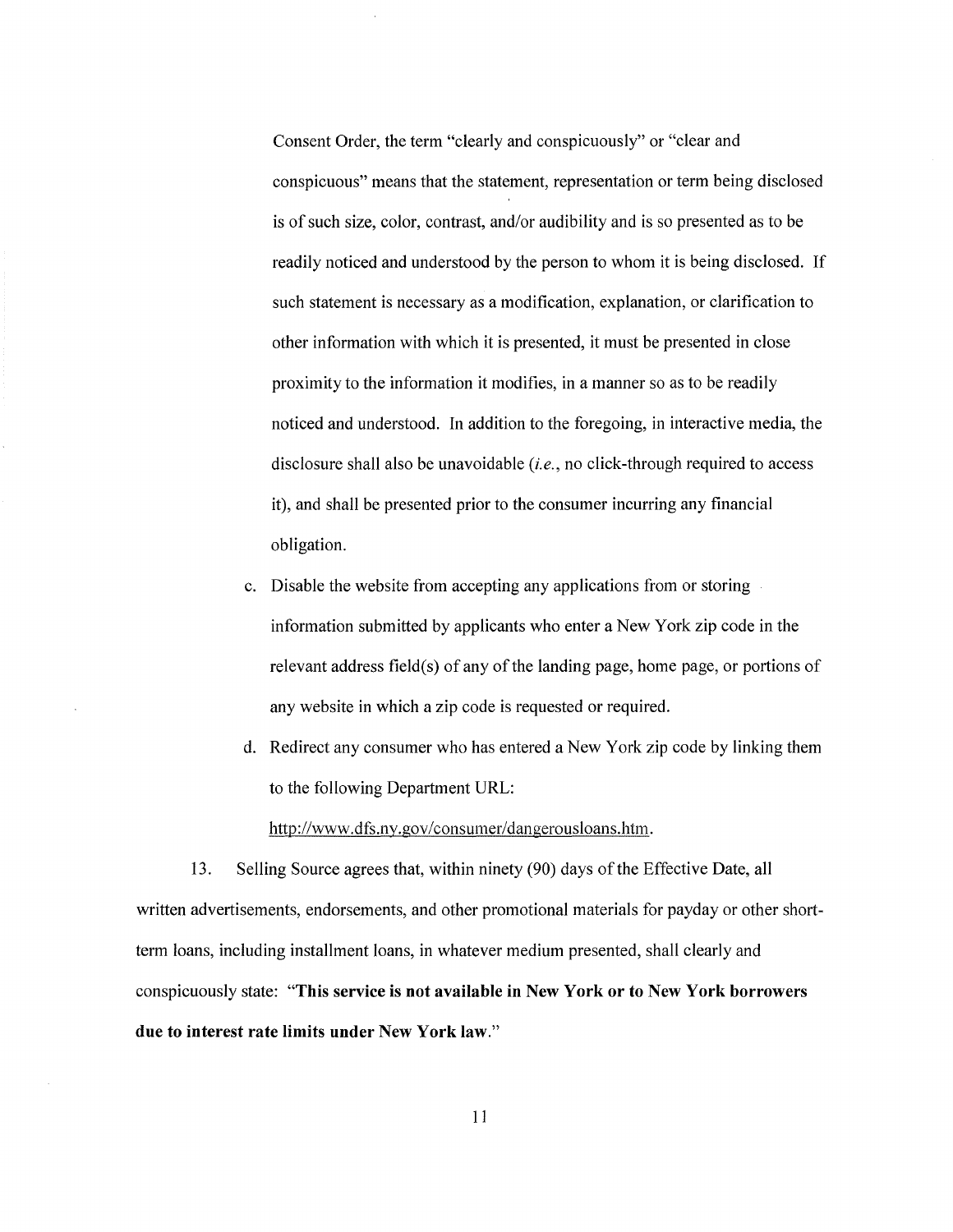Consent Order, the term "clearly and conspicuously" or "clear and conspicuous" means that the statement, representation or term being disclosed is of such size, color, contrast, and/or audibility and is so presented as to be readily noticed and understood by the person to whom it is being disclosed. If such statement is necessary as a modification, explanation, or clarification to other information with which it is presented, it must be presented in close proximity to the information it modifies, in a manner so as to be readily noticed and understood. In addition to the foregoing, in interactive media, the disclosure shall also be unavoidable *(i.e.,* no click-through required to access it), and shall be presented prior to the consumer incurring any financial obligation.

- c. Disable the website from accepting any applications from or storing information submitted by applicants who enter a New York zip code in the relevant address field(s) of any of the landing page, home page, or portions of any website in which a zip code is requested or required.
- d. Redirect any consumer who has entered a New York zip code by linking them to the following Department URL:

http://www.dfs.ny.gov/consumer/dangerousloans.htm.

13. Selling Source agrees that, within ninety (90) days of the Effective Date, all written advertisements, endorsements, and other promotional materials for payday or other shortterm loans, including installment loans, in whatever medium presented, shall clearly and conspicuously state: **"This service is not available in New York or to New York borrowers due to interest rate limits under New York law."**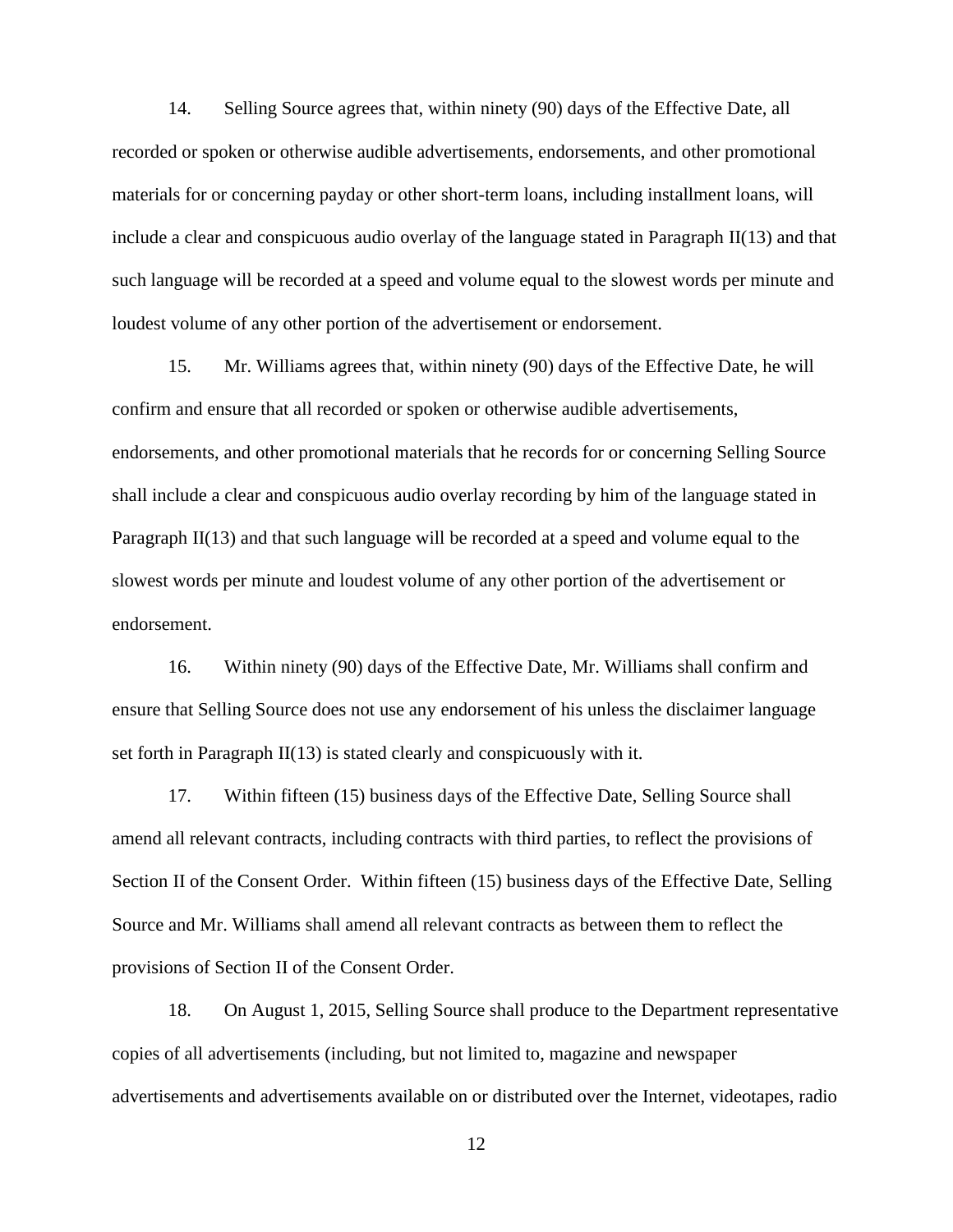14. Selling Source agrees that, within ninety (90) days of the Effective Date, all recorded or spoken or otherwise audible advertisements, endorsements, and other promotional materials for or concerning payday or other short-term loans, including installment loans, will include a clear and conspicuous audio overlay of the language stated in Paragraph II(13) and that such language will be recorded at a speed and volume equal to the slowest words per minute and loudest volume of any other portion of the advertisement or endorsement.

 15. Mr. Williams agrees that, within ninety (90) days of the Effective Date, he will shall include a clear and conspicuous audio overlay recording by him of the language stated in confirm and ensure that all recorded or spoken or otherwise audible advertisements, endorsements, and other promotional materials that he records for or concerning Selling Source Paragraph II(13) and that such language will be recorded at a speed and volume equal to the slowest words per minute and loudest volume of any other portion of the advertisement or endorsement.

16. Within ninety (90) days of the Effective Date, Mr. Williams shall confirm and ensure that Selling Source does not use any endorsement of his unless the disclaimer language set forth in Paragraph II(13) is stated clearly and conspicuously with it.

 Section II of the Consent Order. Within fifteen (15) business days of the Effective Date, Selling 17. Within fifteen (15) business days of the Effective Date, Selling Source shall amend all relevant contracts, including contracts with third parties, to reflect the provisions of Source and Mr. Williams shall amend all relevant contracts as between them to reflect the provisions of Section II of the Consent Order.

18. On August 1, 2015, Selling Source shall produce to the Department representative copies of all advertisements (including, but not limited to, magazine and newspaper advertisements and advertisements available on or distributed over the Internet, videotapes, radio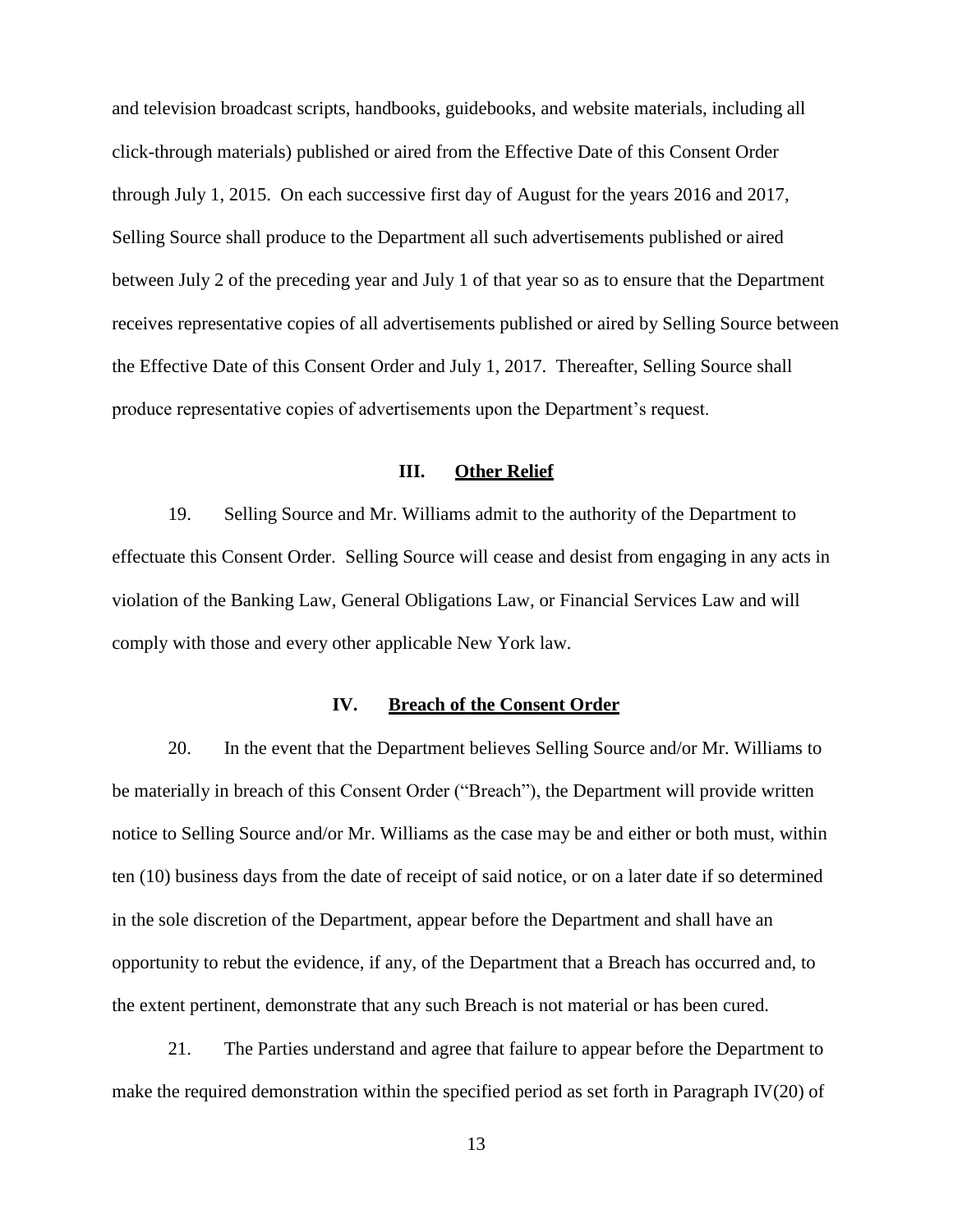through July 1, 2015. On each successive first day of August for the years 2016 and 2017, produce representative copies of advertisements upon the Department's request. and television broadcast scripts, handbooks, guidebooks, and website materials, including all click-through materials) published or aired from the Effective Date of this Consent Order Selling Source shall produce to the Department all such advertisements published or aired between July 2 of the preceding year and July 1 of that year so as to ensure that the Department receives representative copies of all advertisements published or aired by Selling Source between the Effective Date of this Consent Order and July 1, 2017. Thereafter, Selling Source shall

### **III. Other Relief**

 19. Selling Source and Mr. Williams admit to the authority of the Department to effectuate this Consent Order. Selling Source will cease and desist from engaging in any acts in violation of the Banking Law, General Obligations Law, or Financial Services Law and will comply with those and every other applicable New York law.

## **IV. Breach of the Consent Order**

 20. In the event that the Department believes Selling Source and/or Mr. Williams to notice to Selling Source and/or Mr. Williams as the case may be and either or both must, within opportunity to rebut the evidence, if any, of the Department that a Breach has occurred and, to be materially in breach of this Consent Order ("Breach"), the Department will provide written ten (10) business days from the date of receipt of said notice, or on a later date if so determined in the sole discretion of the Department, appear before the Department and shall have an the extent pertinent, demonstrate that any such Breach is not material or has been cured.

 make the required demonstration within the specified period as set forth in Paragraph IV(20) of 21. The Parties understand and agree that failure to appear before the Department to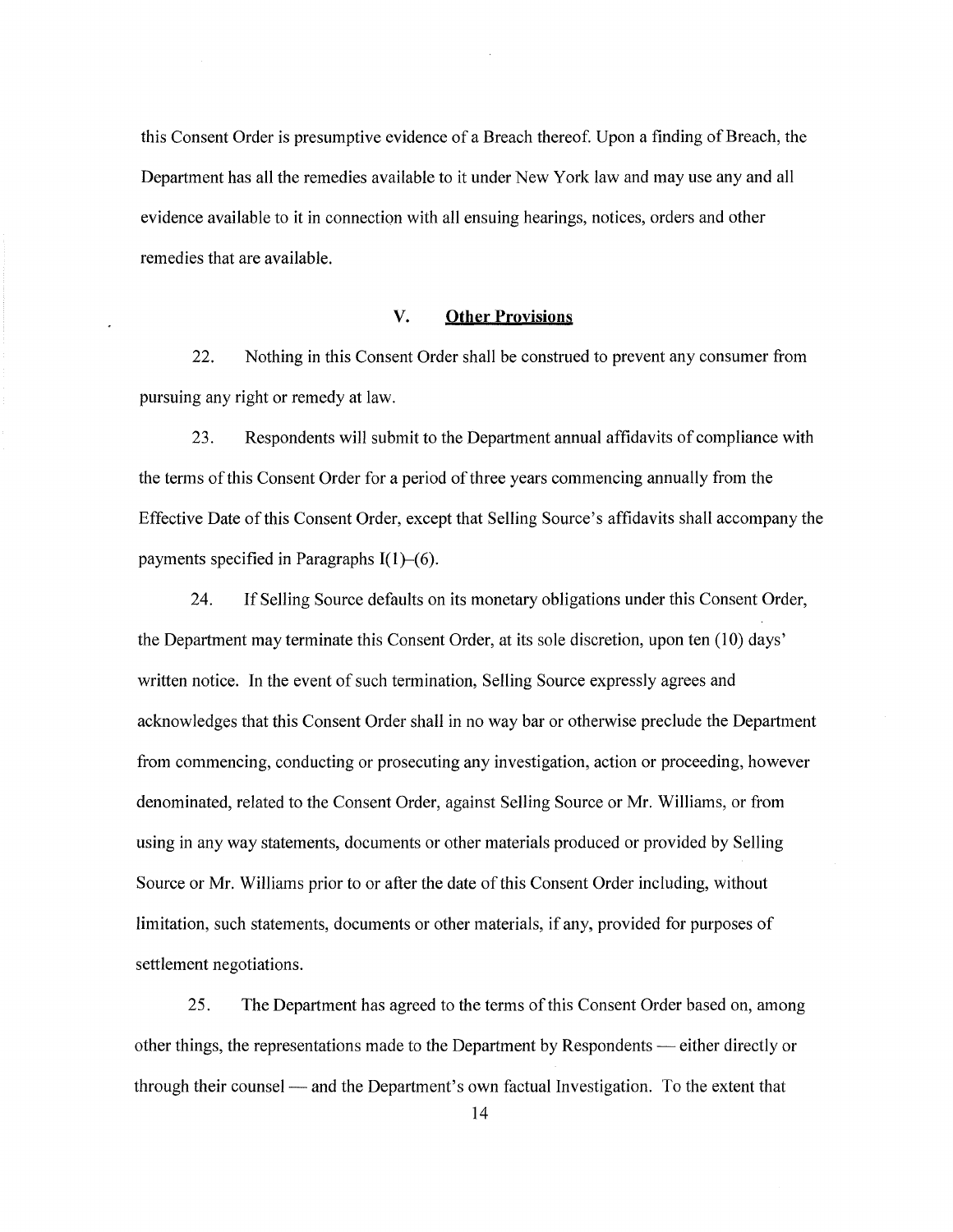this Consent Order is presumptive evidence of a Breach thereof. Upon a finding of Breach, the Department has all the remedies available to it under New York law and may use any and all evidence available to it in connection with all ensuing hearings, notices, orders and other remedies that are available.

### **V. Other Provisions**

22. Nothing in this Consent Order shall be construed to prevent any consumer from pursuing any right or remedy at law.

23. Respondents will submit to the Department annual affidavits of compliance with the terms ofthis Consent Order for a period of three years commencing annually from the Effective Date ofthis Consent Order, except that Selling Source's affidavits shall accompany the payments specified in Paragraphs  $I(1)$ -(6).

24. If Selling Source defaults on its monetary obligations under this Consent Order, the Department may terminate this Consent Order, at its sole discretion, upon ten  $(10)$  days' written notice. In the event of such termination, Selling Source expressly agrees and acknowledges that this Consent Order shall in no way bar or otherwise preclude the Department from commencing, conducting or prosecuting any investigation, action or proceeding, however denominated, related to the Consent Order, against Selling Source or Mr. Williams, or from using in any way statements, documents or other materials produced or provided by Selling Source or Mr. Williams prior to or after the date of this Consent Order including, without limitation, such statements, documents or other materials, if any, provided for purposes of settlement negotiations.

25. The Department has agreed to the terms ofthis Consent Order based on, among other things, the representations made to the Department by Respondents — either directly or through their counsel — and the Department's own factual Investigation. To the extent that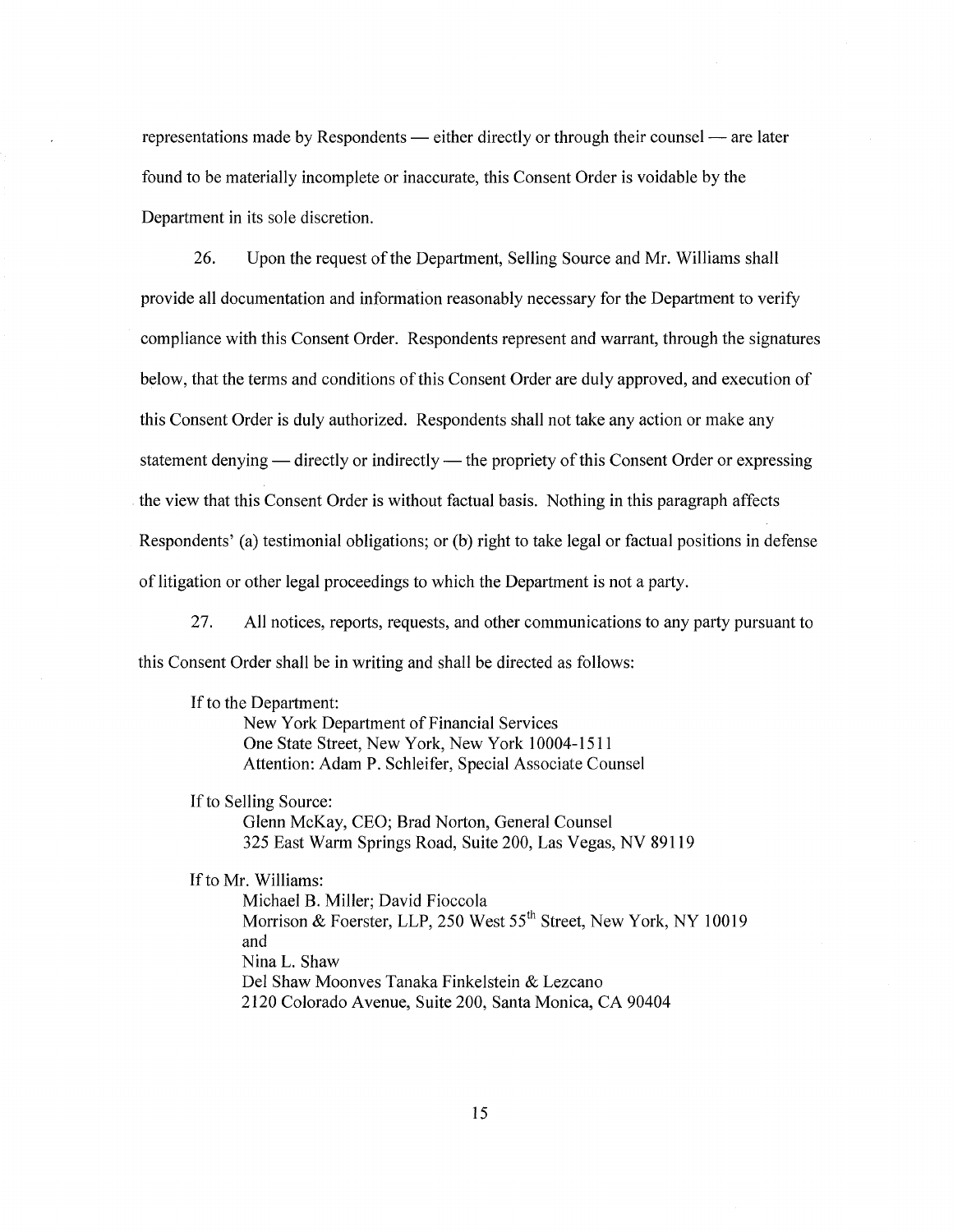representations made by Respondents — either directly or through their counsel — are later found to be materially incomplete or inaccurate, this Consent Order is voidable by the Department in its sole discretion.

26. Upon the request of the Department, Selling Source and Mr. Williams shall provide all documentation and information reasonably necessary for the Department to verify compliance with this Consent Order. Respondents represent and warrant, through the signatures below, that the terms and conditions of this Consent Order are duly approved, and execution of this Consent Order is duly authorized. Respondents shall not take any action or make any statement denying — directly or indirectly — the propriety of this Consent Order or expressing the view that this Consent Order is without factual basis. Nothing in this paragraph affects Respondents' (a) testimonial obligations; or (b) right to take legal or factual positions in defense of litigation or other legal proceedings to which the Department is not a party.

27. All notices, reports, requests, and other communications to any party pursuant to this Consent Order shall be in writing and shall be directed as follows:

If to the Department:

New York Department of Financial Services One State Street, New York, New York 10004-1511 Attention: Adam P. Schleifer, Special Associate Counsel

If to Selling Source:

Glenn McKay, CEO; Brad Norton, General Counsel 325 East Warm Springs Road, Suite 200, Las Vegas, NV 89119

If to Mr. Williams:

Michael B. Miller; David Fioccola Morrison & Foerster, LLP, 250 West 55<sup>th</sup> Street, New York, NY 10019 and Nina L. Shaw Del Shaw Moonves Tanaka Finkelstein & Lezcano 2120 Colorado Avenue, Suite 200, Santa Monica, CA 90404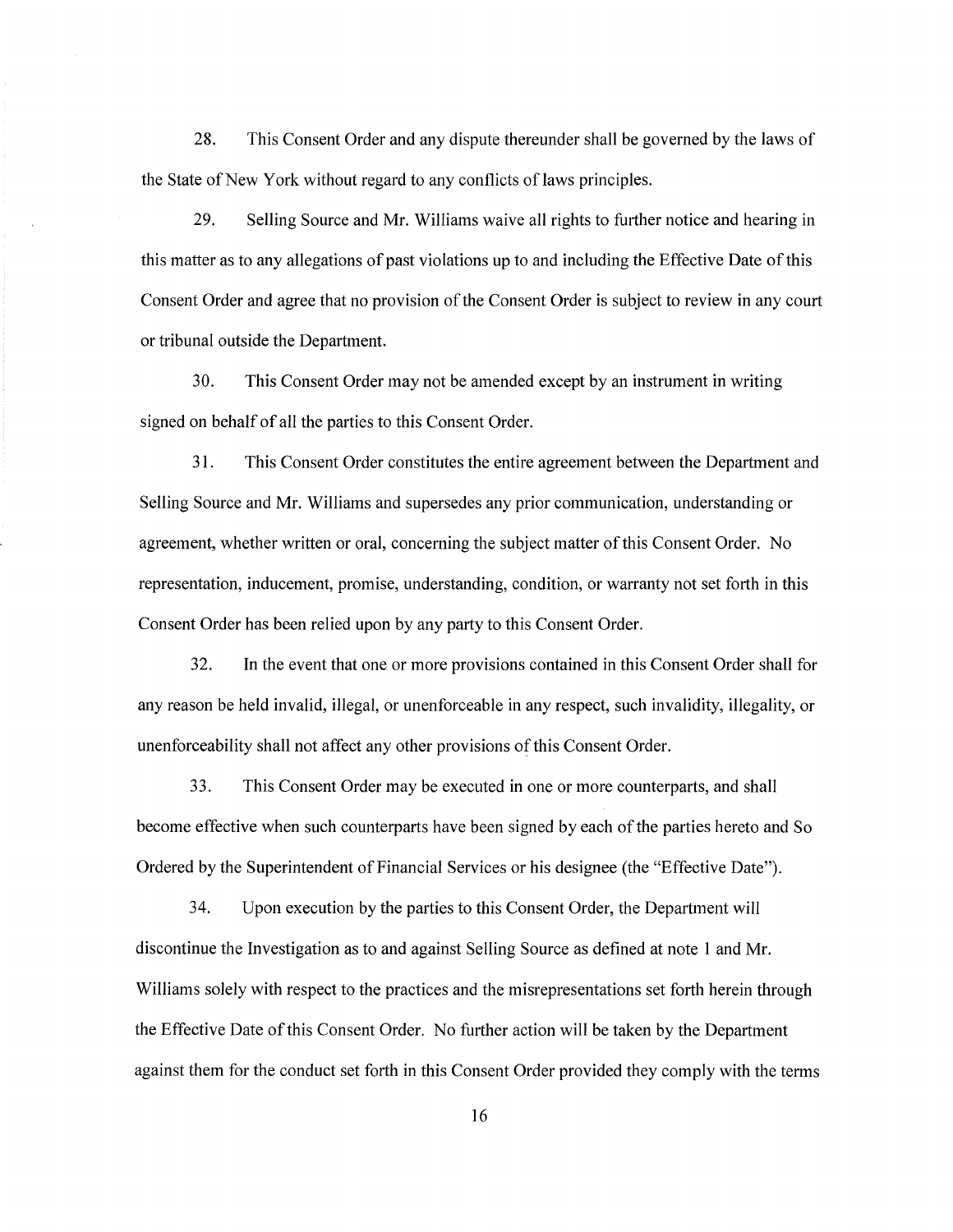28. This Consent Order and any dispute thereunder shall be governed by the laws of the State of New York without regard to any conflicts of laws principles.

29. Selling Source and Mr. Williams waive all rights to further notice and hearing in this matter as to any allegations of past violations up to and including the Effective Date ofthis Consent Order and agree that no provision of the Consent Order is subject to review in any court or tribunal outside the Department.

30. This Consent Order may not be amended except by an instrument in writing signed on behalf of all the parties to this Consent Order.

31. This Consent Order constitutes the entire agreement between the Department and Selling Source and Mr. Williams and supersedes any prior communication, understanding or agreement, whether written or oral, concerning the subject matter ofthis Consent Order. No representation, inducement, promise, understanding, condition, or warranty not set forth in this Consent Order has been relied upon by any party to this Consent Order.

32. In the event that one or more provisions contained in this Consent Order shall for any reason be held invalid, illegal, or unenforceable in any respect, such invalidity, illegality, or unenforceability shall not affect any other provisions of this Consent Order.

33. This Consent Order may be executed in one or more counterparts, and shall become effective when such counterparts have been signed by each of the parties hereto and So Ordered by the Superintendent of Financial Services or his designee (the "Effective Date").

34. Upon execution by the parties to this Consent Order, the Department will discontinue the Investigation as to and against Selling Source as defined at note 1 and Mr. Williams solely with respect to the practices and the misrepresentations set forth herein through the Effective Date ofthis Consent Order. No further action will be taken by the Department against them for the conduct set forth in this Consent Order provided they comply with the terms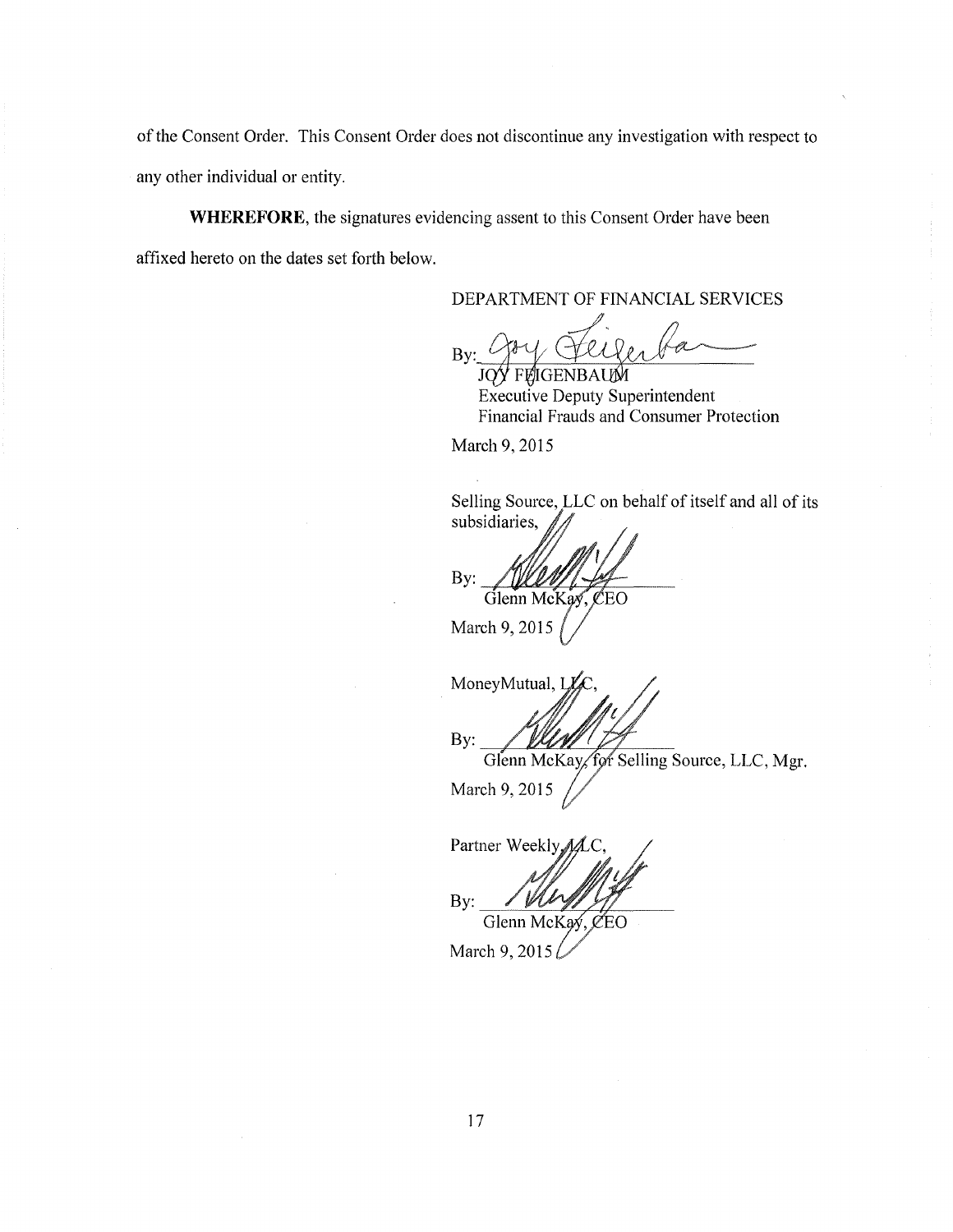of the Consent Order. This Consent Order does not discontinue any investigation with respect to any other individual or entity.

**WHEREFORE,** the signatures evidencing assent to this Consent Order have been affixed hereto on the dates set forth below.

DEPARTMENT OF FINANCIAL SERVICES

By: goy Feigerban

Executive Deputy Superintendent Financial Frauds and Consumer Protection

March 9, 2015

Selling Source, LLC on behalf of itself and all of its subsidiaries,

By:

Glenn McKay, CEO

March 9, 2015

MoneyMutual, I By:

Glenn McKay for Selling Source, LLC, Mgr.

March 9, 2015

Partner Weekly,  $By:$ Glenn McKay, CEO

March 9, 2015